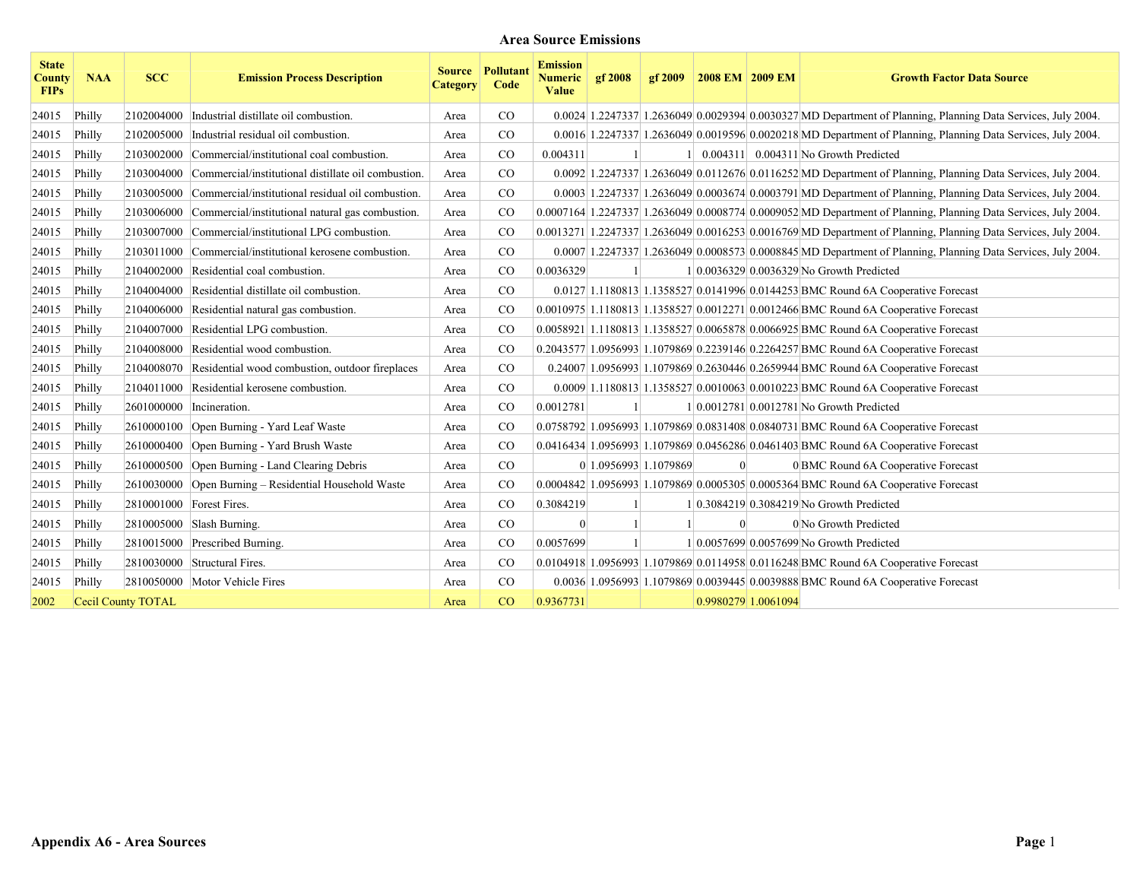| <b>State</b><br><b>County</b><br><b>FIPs</b> | <b>NAA</b> | <b>SCC</b>               | <b>Emission Process Description</b>                            | <b>Category</b> | <b>Source Pollutant</b><br>Code | <b>Emission</b><br><b>Numeric</b><br><b>Value</b> | gf 2008 |                       | $\sigma$ gf 2009 2008 EM 2009 EM |                     | <b>Growth Factor Data Source</b>                                                                                |
|----------------------------------------------|------------|--------------------------|----------------------------------------------------------------|-----------------|---------------------------------|---------------------------------------------------|---------|-----------------------|----------------------------------|---------------------|-----------------------------------------------------------------------------------------------------------------|
| 24015                                        | Philly     |                          | 2102004000 Industrial distillate oil combustion.               | Area            | CO                              |                                                   |         |                       |                                  |                     | 0.0024 1.2247337 1.2636049 0.0029394 0.0030327 MD Department of Planning, Planning Data Services, July 2004.    |
| 24015                                        | Philly     |                          | 2102005000 Industrial residual oil combustion.                 | Area            | CO                              |                                                   |         |                       |                                  |                     | 0.0016 1.2247337 1.2636049 0.0019596 0.0020218 MD Department of Planning, Planning Data Services, July 2004.    |
| 24015                                        | Philly     |                          | 2103002000 Commercial/institutional coal combustion.           | Area            | CO                              | 0.004311                                          |         |                       |                                  |                     | $\vert$ 0.004311 0.004311 No Growth Predicted                                                                   |
| 24015                                        | Philly     |                          | 2103004000 Commercial/institutional distillate oil combustion. | Area            | CO                              |                                                   |         |                       |                                  |                     | 0.0092 1.2247337 1.2636049 0.0112676 0.0116252 MD Department of Planning, Planning Data Services, July 2004.    |
| 24015                                        | Philly     |                          | 2103005000 Commercial/institutional residual oil combustion.   | Area            | CO                              |                                                   |         |                       |                                  |                     | 0.0003 1.2247337 1.2636049 0.0003674 0.0003791 MD Department of Planning, Planning Data Services, July 2004.    |
| 24015                                        | Philly     |                          | 2103006000 Commercial/institutional natural gas combustion.    | Area            | CO                              |                                                   |         |                       |                                  |                     | 0.0007164 1.2247337 1.2636049 0.0008774 0.0009052 MD Department of Planning, Planning Data Services, July 2004. |
| 24015                                        | Philly     |                          | 2103007000 Commercial/institutional LPG combustion.            | Area            | CO                              |                                                   |         |                       |                                  |                     | 0.0013271 1.2247337 1.2636049 0.0016253 0.0016769 MD Department of Planning, Planning Data Services, July 2004. |
| 24015                                        | Philly     |                          | 2103011000 Commercial/institutional kerosene combustion.       | Area            | CO                              |                                                   |         |                       |                                  |                     | 0.0007 1.2247337 1.2636049 0.0008573 0.0008845 MD Department of Planning, Planning Data Services, July 2004.    |
| 24015                                        | Philly     |                          | 2104002000 Residential coal combustion.                        | Area            | CO                              | 0.0036329                                         |         |                       |                                  |                     | $1 0.0036329 0.0036329 $ No Growth Predicted                                                                    |
| 24015                                        | Philly     |                          | 2104004000 Residential distillate oil combustion.              | Area            | CO                              |                                                   |         |                       |                                  |                     | $0.0127$ 1.1180813 1.1358527 0.0141996 0.0144253 BMC Round 6A Cooperative Forecast                              |
| 24015                                        | Philly     |                          | 2104006000 Residential natural gas combustion.                 | Area            | <sub>CO</sub>                   |                                                   |         |                       |                                  |                     | 0.0010975 1.1180813 1.1358527 0.0012271 0.0012466 BMC Round 6A Cooperative Forecast                             |
| 24015                                        | Philly     |                          | 2104007000 Residential LPG combustion.                         | Area            | CO                              |                                                   |         |                       |                                  |                     | 0.0058921 1.1180813 1.1358527 0.0065878 0.0066925 BMC Round 6A Cooperative Forecast                             |
| 24015                                        | Philly     |                          | 2104008000 Residential wood combustion.                        | Area            | CO                              |                                                   |         |                       |                                  |                     | 0.2043577 1.0956993 1.1079869 0.2239146 0.2264257 BMC Round 6A Cooperative Forecast                             |
| 24015                                        | Philly     |                          | 2104008070 Residential wood combustion, outdoor fireplaces     | Area            | CO                              |                                                   |         |                       |                                  |                     | 0.24007 1.0956993 1.1079869 0.2630446 0.2659944 BMC Round 6A Cooperative Forecast                               |
| 24015                                        | Philly     |                          | 2104011000 Residential kerosene combustion.                    | Area            | CO                              |                                                   |         |                       |                                  |                     | 0.0009 1.1180813 1.1358527 0.0010063 0.0010223 BMC Round 6A Cooperative Forecast                                |
| 24015                                        | Philly     | 2601000000 Incineration. |                                                                | Area            | CO                              | 0.0012781                                         |         |                       |                                  |                     | $1 0.0012781 0.0012781 $ No Growth Predicted                                                                    |
| 24015                                        | Philly     |                          | 2610000100 Open Burning - Yard Leaf Waste                      | Area            | <sub>CO</sub>                   |                                                   |         |                       |                                  |                     | 0.0758792 1.0956993 1.1079869 0.0831408 0.0840731 BMC Round 6A Cooperative Forecast                             |
| 24015                                        | Philly     |                          | 2610000400 Open Burning - Yard Brush Waste                     | Area            | CO                              |                                                   |         |                       |                                  |                     | 0.0416434 1.0956993 1.1079869 0.0456286 0.0461403 BMC Round 6A Cooperative Forecast                             |
| 24015                                        | Philly     |                          | 2610000500 Open Burning - Land Clearing Debris                 | Area            | CO                              |                                                   |         | 0 1.0956993 1.1079869 | $\overline{0}$                   |                     | 0 BMC Round 6A Cooperative Forecast                                                                             |
| 24015                                        | Philly     |                          | 2610030000 Open Burning – Residential Household Waste          | Area            | CO                              |                                                   |         |                       |                                  |                     | 0.0004842 1.0956993 1.1079869 0.0005305 0.0005364 BMC Round 6A Cooperative Forecast                             |
| 24015                                        | Philly     | 2810001000 Forest Fires. |                                                                | Area            | CO                              | 0.3084219                                         |         |                       |                                  |                     | 1 0.3084219 0.3084219 No Growth Predicted                                                                       |
| 24015                                        | Philly     |                          | 2810005000 Slash Burning.                                      | Area            | CO                              | $\Omega$                                          |         |                       |                                  |                     | 0 No Growth Predicted                                                                                           |
| 24015                                        | Philly     |                          | 2810015000 Prescribed Burning.                                 | Area            | CO                              | 0.0057699                                         |         |                       |                                  |                     | $1 0.0057699 0.0057699 $ No Growth Predicted                                                                    |
| 24015                                        | Philly     |                          | 2810030000 Structural Fires.                                   | Area            | CO                              |                                                   |         |                       |                                  |                     | 0.0104918 1.0956993 1.1079869 0.0114958 0.0116248 BMC Round 6A Cooperative Forecast                             |
| 24015                                        | Philly     |                          | 2810050000 Motor Vehicle Fires                                 | Area            | CO                              |                                                   |         |                       |                                  |                     | 0.0036 1.0956993 1.1079869 0.0039445 0.0039888 BMC Round 6A Cooperative Forecast                                |
| 2002                                         |            | Cecil County TOTAL       |                                                                | Area            | CO                              | 0.9367731                                         |         |                       |                                  | 0.9980279 1.0061094 |                                                                                                                 |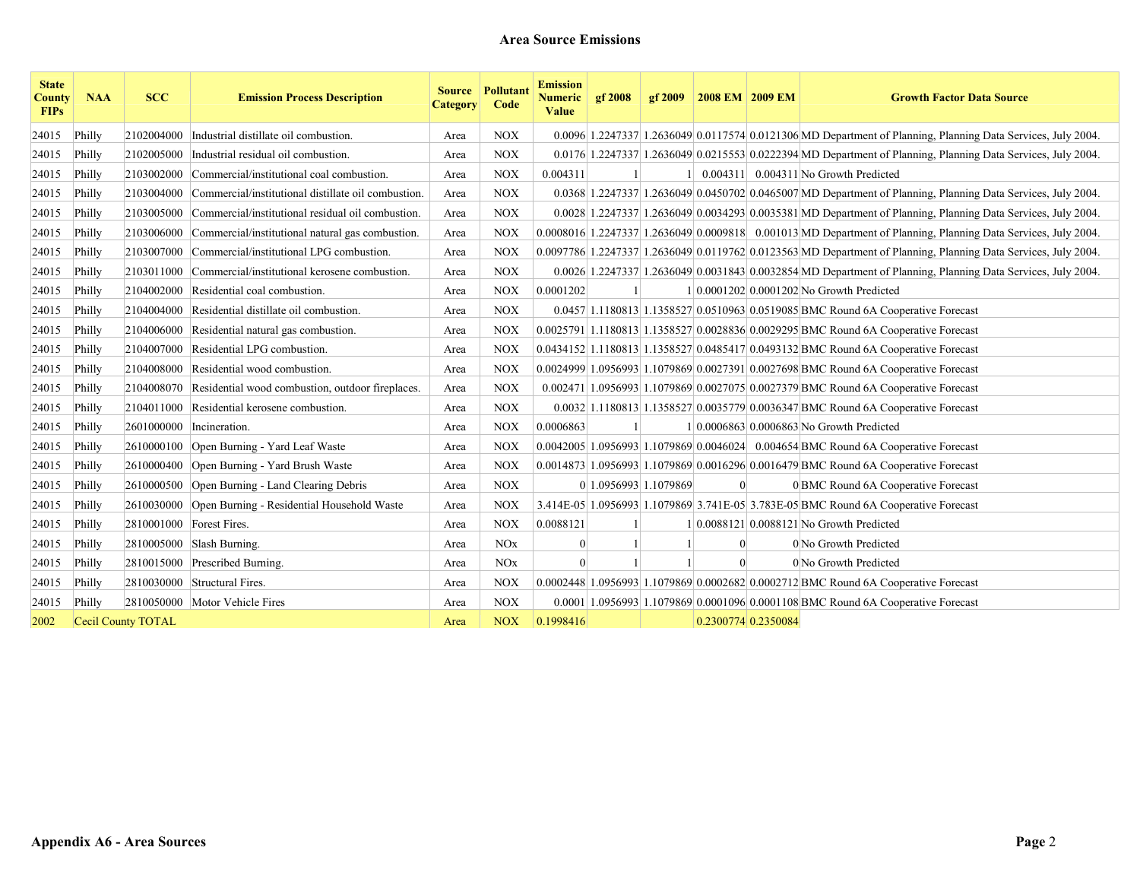| <b>State</b><br><b>County</b><br><b>FIPs</b> | <b>NAA</b> | <b>SCC</b>               | <b>Emission Process Description</b>                           | <b>Category</b> | <b>Source Pollutant</b><br>Code | <b>Emission</b><br><b>Numeric</b><br>Value | gf 2008 | gf 2009               | $ 2008$ EM $ 2009$ EM | <b>Growth Factor Data Source</b>                                                                                |
|----------------------------------------------|------------|--------------------------|---------------------------------------------------------------|-----------------|---------------------------------|--------------------------------------------|---------|-----------------------|-----------------------|-----------------------------------------------------------------------------------------------------------------|
| 24015                                        | Philly     |                          | 2102004000 Industrial distillate oil combustion.              | Area            | <b>NOX</b>                      |                                            |         |                       |                       | 0.0096 1.2247337 1.2636049 0.0117574 0.0121306 MD Department of Planning, Planning Data Services, July 2004.    |
| 24015                                        | Philly     |                          | 2102005000 Industrial residual oil combustion.                | Area            | <b>NOX</b>                      |                                            |         |                       |                       | 0.0176 1.2247337 1.2636049 0.0215553 0.0222394 MD Department of Planning, Planning Data Services, July 2004.    |
| 24015                                        | Philly     |                          | 2103002000 Commercial/institutional coal combustion.          | Area            | <b>NOX</b>                      | 0.004311                                   |         |                       |                       | $0.004311$ 0.004311 No Growth Predicted                                                                         |
| 24015                                        | Philly     |                          | 2103004000 Commercial/institutional distillate oil combustion | Area            | <b>NOX</b>                      |                                            |         |                       |                       | 0.0368 1.2247337 1.2636049 0.0450702 0.0465007 MD Department of Planning, Planning Data Services, July 2004.    |
| 24015                                        | Philly     |                          | 2103005000 Commercial/institutional residual oil combustion.  | Area            | <b>NOX</b>                      |                                            |         |                       |                       | 0.0028 1.2247337 1.2636049 0.0034293 0.0035381 MD Department of Planning, Planning Data Services, July 2004.    |
| 24015                                        | Philly     |                          | 2103006000 Commercial/institutional natural gas combustion.   | Area            | <b>NOX</b>                      |                                            |         |                       |                       | 0.0008016 1.2247337 1.2636049 0.0009818 0.001013 MD Department of Planning, Planning Data Services, July 2004.  |
| 24015                                        | Philly     |                          | 2103007000 Commercial/institutional LPG combustion.           | Area            | <b>NOX</b>                      |                                            |         |                       |                       | 0.0097786 1.2247337 1.2636049 0.0119762 0.0123563 MD Department of Planning, Planning Data Services, July 2004. |
| 24015                                        | Philly     |                          | 2103011000 Commercial/institutional kerosene combustion.      | Area            | <b>NOX</b>                      |                                            |         |                       |                       | 0.0026 1.2247337 1.2636049 0.0031843 0.0032854 MD Department of Planning, Planning Data Services, July 2004.    |
| 24015                                        | Philly     |                          | 2104002000 Residential coal combustion.                       | Area            | <b>NOX</b>                      | 0.0001202                                  |         |                       |                       | $1 0.0001202 0.0001202 $ No Growth Predicted                                                                    |
| 24015                                        | Philly     |                          | 2104004000 Residential distillate oil combustion.             | Area            | <b>NOX</b>                      |                                            |         |                       |                       | 0.0457 1.1180813 1.1358527 0.0510963 0.0519085 BMC Round 6A Cooperative Forecast                                |
| 24015                                        | Philly     |                          | 2104006000 Residential natural gas combustion.                | Area            | <b>NOX</b>                      |                                            |         |                       |                       | $0.0025791$ 1.1180813 1.1358527 0.0028836 0.0029295 BMC Round 6A Cooperative Forecast                           |
| 24015                                        | Philly     |                          | 2104007000 Residential LPG combustion.                        | Area            | <b>NOX</b>                      |                                            |         |                       |                       | $0.0434152$ 1.1180813 1.1358527 0.0485417 0.0493132 BMC Round 6A Cooperative Forecast                           |
| 24015                                        | Philly     |                          | 2104008000 Residential wood combustion.                       | Area            | <b>NOX</b>                      |                                            |         |                       |                       | 0.0024999 1.0956993 1.1079869 0.0027391 0.0027698 BMC Round 6A Cooperative Forecast                             |
| 24015                                        | Philly     |                          | 2104008070 Residential wood combustion, outdoor fireplaces.   | Area            | <b>NOX</b>                      |                                            |         |                       |                       | 0.002471 1.0956993 1.1079869 0.0027075 0.0027379 BMC Round 6A Cooperative Forecast                              |
| 24015                                        | Philly     |                          | 2104011000 Residential kerosene combustion.                   | Area            | <b>NOX</b>                      |                                            |         |                       |                       | 0.0032 1.1180813 1.1358527 0.0035779 0.0036347 BMC Round 6A Cooperative Forecast                                |
| 24015                                        | Philly     | 2601000000 Incineration. |                                                               | Area            | <b>NOX</b>                      | 0.0006863                                  |         |                       |                       | 1 0.0006863 0.0006863 No Growth Predicted                                                                       |
| 24015                                        | Philly     |                          | 2610000100 Open Burning - Yard Leaf Waste                     | Area            | <b>NOX</b>                      |                                            |         |                       |                       | $(0.0042005 \mid 1.0956993 \mid 1.1079869 \mid 0.0046024 \mid 0.004654 \mid$ BMC Round 6A Cooperative Forecast  |
| 24015                                        | Philly     |                          | 2610000400 Open Burning - Yard Brush Waste                    | Area            | <b>NOX</b>                      |                                            |         |                       |                       | $[0.0014873]$ 1.0956993 1.1079869 0.0016296 0.0016479 BMC Round 6A Cooperative Forecast                         |
| 24015                                        | Philly     |                          | 2610000500 Open Burning - Land Clearing Debris                | Area            | <b>NOX</b>                      |                                            |         | 0 1.0956993 1.1079869 |                       | 0 BMC Round 6A Cooperative Forecast                                                                             |
| 24015                                        | Philly     |                          | 2610030000 Open Burning - Residential Household Waste         | Area            | <b>NOX</b>                      |                                            |         |                       |                       | 3.414E-05 1.0956993 1.1079869 3.741E-05 3.783E-05 BMC Round 6A Cooperative Forecast                             |
| 24015                                        | Philly     | 2810001000 Forest Fires. |                                                               | Area            | <b>NOX</b>                      | 0.0088121                                  |         |                       |                       | 1 0.0088121 0.0088121 No Growth Predicted                                                                       |
| 24015                                        | Philly     |                          | $ 2810005000 $ Slash Burning.                                 | Area            | NOx                             |                                            |         |                       |                       | 0 No Growth Predicted                                                                                           |
| 24015                                        | Philly     |                          | 2810015000 Prescribed Burning.                                | Area            | <b>NOx</b>                      |                                            |         |                       |                       | 0 No Growth Predicted                                                                                           |
| 24015                                        | Philly     |                          | 2810030000 Structural Fires.                                  | Area            | <b>NOX</b>                      |                                            |         |                       |                       | 0.0002448 1.0956993 1.1079869 0.0002682 0.0002712 BMC Round 6A Cooperative Forecast                             |
| 24015                                        | Philly     |                          | 2810050000 Motor Vehicle Fires                                | Area            | <b>NOX</b>                      |                                            |         |                       |                       | 0.0001 1.0956993 1.1079869 0.0001096 0.0001108 BMC Round 6A Cooperative Forecast                                |
| 2002                                         |            | Cecil County TOTAL       |                                                               | Area            | <b>NOX</b>                      | 0.1998416                                  |         |                       | 0.2300774 0.2350084   |                                                                                                                 |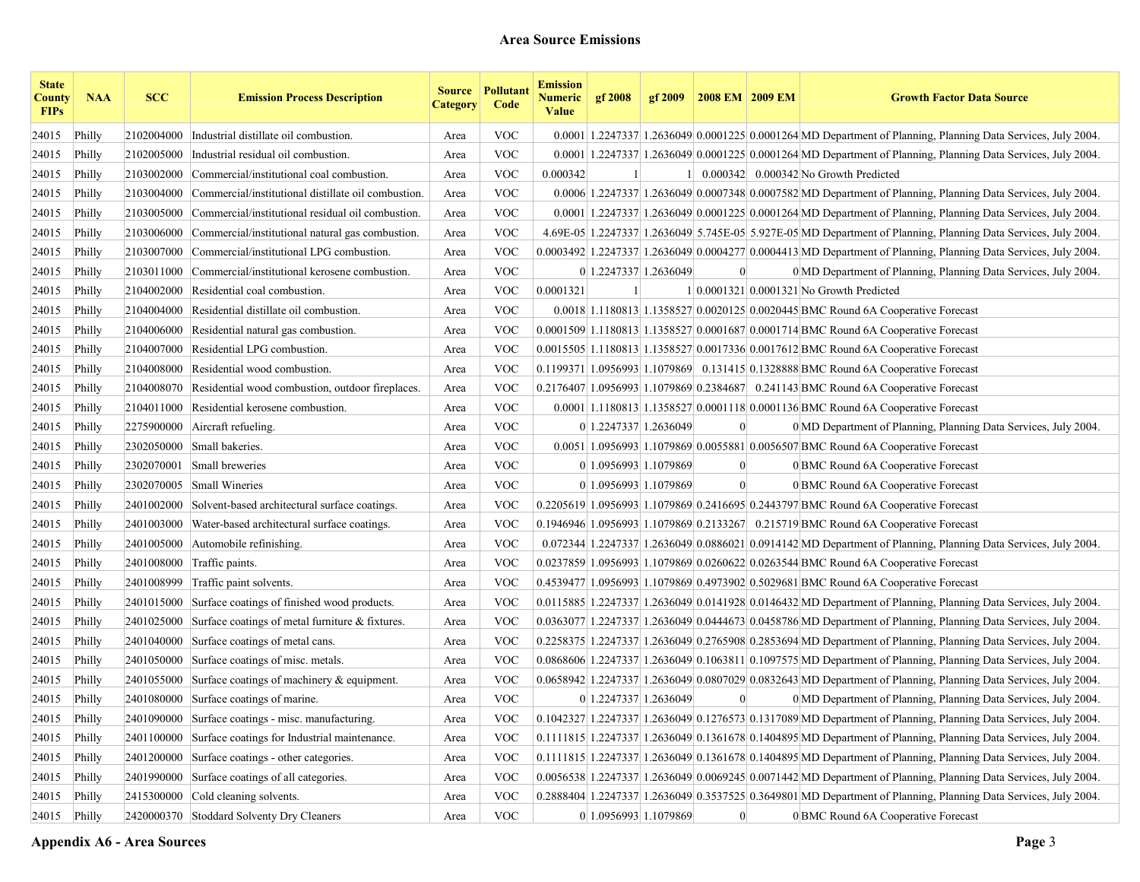| <b>State</b><br>County<br><b>FIPs</b> | <b>NAA</b> | <b>SCC</b> | <b>Emission Process Description</b>                            | <b>Source</b><br>Category | Pollutant<br>Code | <b>Emission</b><br><b>Numeric</b><br><b>Value</b> | gf 2008 | gf 2009               | $2008$ EM   $2009$ EM | <b>Growth Factor Data Source</b>                                                                                |
|---------------------------------------|------------|------------|----------------------------------------------------------------|---------------------------|-------------------|---------------------------------------------------|---------|-----------------------|-----------------------|-----------------------------------------------------------------------------------------------------------------|
| 24015                                 | Philly     | 2102004000 | Industrial distillate oil combustion.                          | Area                      | <b>VOC</b>        |                                                   |         |                       |                       | 0.0001 1.2247337 1.2636049 0.0001225 0.0001264 MD Department of Planning, Planning Data Services, July 2004.    |
| 24015                                 | Philly     | 2102005000 | Industrial residual oil combustion.                            | Area                      | <b>VOC</b>        |                                                   |         |                       |                       | 0.0001 1.2247337 1.2636049 0.0001225 0.0001264 MD Department of Planning, Planning Data Services, July 2004.    |
| 24015                                 | Philly     |            | 2103002000 Commercial/institutional coal combustion            | Area                      | <b>VOC</b>        | 0.000342                                          |         |                       |                       | 1 0.000342 0.000342 No Growth Predicted                                                                         |
| 24015                                 | Philly     |            | 2103004000 Commercial/institutional distillate oil combustion. | Area                      | <b>VOC</b>        |                                                   |         |                       |                       | 0.0006 1.2247337 1.2636049 0.0007348 0.0007582 MD Department of Planning, Planning Data Services, July 2004.    |
| 24015                                 | Philly     | 2103005000 | Commercial/institutional residual oil combustion.              | Area                      | <b>VOC</b>        |                                                   |         |                       |                       | 0.0001 1.2247337 1.2636049 0.0001225 0.0001264 MD Department of Planning, Planning Data Services, July 2004     |
| 24015                                 | Philly     | 2103006000 | Commercial/institutional natural gas combustion.               | Area                      | <b>VOC</b>        |                                                   |         |                       |                       | 4.69E-05 1.2247337 1.2636049 5.745E-05 5.927E-05 MD Department of Planning, Planning Data Services, July 2004.  |
| 24015                                 | Philly     | 2103007000 | Commercial/institutional LPG combustion.                       | Area                      | <b>VOC</b>        |                                                   |         |                       |                       | 0.0003492 1.2247337 1.2636049 0.0004277 0.0004413 MD Department of Planning, Planning Data Services, July 2004. |
| 24015                                 | Philly     | 2103011000 | Commercial/institutional kerosene combustion                   | Area                      | <b>VOC</b>        |                                                   |         | 0 1.2247337 1.2636049 |                       | 0 MD Department of Planning, Planning Data Services, July 2004.                                                 |
| 24015                                 | Philly     |            | 2104002000 Residential coal combustion.                        | Area                      | <b>VOC</b>        | 0.0001321                                         | 1       |                       |                       | 1 0.0001321 0.0001321 No Growth Predicted                                                                       |
| 24015                                 | Philly     |            | 2104004000 Residential distillate oil combustion.              | Area                      | <b>VOC</b>        |                                                   |         |                       |                       | 0.0018 1.1180813 1.1358527 0.0020125 0.0020445 BMC Round 6A Cooperative Forecast                                |
| 24015                                 | Philly     |            | 2104006000 Residential natural gas combustion.                 | Area                      | <b>VOC</b>        |                                                   |         |                       |                       | 0.0001509 1.1180813 1.1358527 0.0001687 0.0001714 BMC Round 6A Cooperative Forecast                             |
| 24015                                 | Philly     |            | 2104007000 Residential LPG combustion.                         | Area                      | <b>VOC</b>        |                                                   |         |                       |                       | 0.0015505 1.1180813 1.1358527 0.0017336 0.0017612 BMC Round 6A Cooperative Forecast                             |
| 24015                                 | Philly     |            | 2104008000 Residential wood combustion.                        | Area                      | <b>VOC</b>        |                                                   |         |                       |                       | 0.1199371 1.0956993 1.1079869 0.131415 0.1328888 BMC Round 6A Cooperative Forecast                              |
| 24015                                 | Philly     | 2104008070 | Residential wood combustion, outdoor fireplaces.               | Area                      | VOC               |                                                   |         |                       |                       | 0.2176407 1.0956993 1.1079869 0.2384687 0.241143 BMC Round 6A Cooperative Forecast                              |
| 24015                                 | Philly     | 2104011000 | Residential kerosene combustion.                               | Area                      | <b>VOC</b>        |                                                   |         |                       |                       | 0.0001 1.1180813 1.1358527 0.0001118 0.0001136 BMC Round 6A Cooperative Forecast                                |
| 24015                                 | Philly     |            | 2275900000 Aircraft refueling.                                 | Area                      | $\rm VOC$         |                                                   |         | 0 1.2247337 1.2636049 |                       | 0 MD Department of Planning, Planning Data Services, July 2004.                                                 |
| 24015                                 | Philly     |            | 2302050000 Small bakeries.                                     | Area                      | <b>VOC</b>        |                                                   |         |                       |                       | 0.0051 1.0956993 1.1079869 0.0055881 0.0056507 BMC Round 6A Cooperative Forecast                                |
| 24015                                 | Philly     |            | 2302070001 Small breweries                                     | Area                      | <b>VOC</b>        |                                                   |         | 0 1.0956993 1.1079869 |                       | 0 BMC Round 6A Cooperative Forecast                                                                             |
| 24015                                 | Philly     |            | 2302070005 Small Wineries                                      | Area                      | <b>VOC</b>        |                                                   |         | 0 1.0956993 1.1079869 | $\Omega$              | 0 BMC Round 6A Cooperative Forecast                                                                             |
| 24015                                 | Philly     |            | 2401002000 Solvent-based architectural surface coatings.       | Area                      | <b>VOC</b>        |                                                   |         |                       |                       | 0.2205619 1.0956993 1.1079869 0.2416695 0.2443797 BMC Round 6A Cooperative Forecast                             |
| 24015                                 | Philly     |            | 2401003000   Water-based architectural surface coatings.       | Area                      | <b>VOC</b>        |                                                   |         |                       |                       | 0.1946946 1.0956993 1.1079869 0.2133267 0.215719 BMC Round 6A Cooperative Forecast                              |
| 24015                                 | Philly     | 2401005000 | Automobile refinishing.                                        | Area                      | <b>VOC</b>        |                                                   |         |                       |                       | 0.072344 1.2247337 1.2636049 0.0886021 0.0914142 MD Department of Planning, Planning Data Services, July 2004   |
| 24015                                 | Philly     | 2401008000 | Traffic paints.                                                | Area                      | <b>VOC</b>        |                                                   |         |                       |                       | 0.0237859 1.0956993 1.1079869 0.0260622 0.0263544 BMC Round 6A Cooperative Forecast                             |
| 24015                                 | Philly     |            | 2401008999 Traffic paint solvents.                             | Area                      | <b>VOC</b>        |                                                   |         |                       |                       | 0.4539477 1.0956993 1.1079869 0.4973902 0.5029681 BMC Round 6A Cooperative Forecast                             |
| 24015                                 | Philly     | 2401015000 | Surface coatings of finished wood products.                    | Area                      | <b>VOC</b>        |                                                   |         |                       |                       | 0.0115885 1.2247337 1.2636049 0.0141928 0.0146432 MD Department of Planning, Planning Data Services, July 2004. |
| 24015                                 | Philly     |            | $ 2401025000 $ Surface coatings of metal furniture & fixtures. | Area                      | <b>VOC</b>        |                                                   |         |                       |                       | 0.0363077 1.2247337 1.2636049 0.0444673 0.0458786 MD Department of Planning, Planning Data Services, July 2004. |
| 24015                                 | Philly     |            | 2401040000 Surface coatings of metal cans.                     | Area                      | <b>VOC</b>        |                                                   |         |                       |                       | 0.2258375 1.2247337 1.2636049 0.2765908 0.2853694 MD Department of Planning, Planning Data Services, July 2004. |
| 24015                                 | Philly     |            | 2401050000 Surface coatings of misc. metals.                   | Area                      | VOC               |                                                   |         |                       |                       | 0.0868606 1.2247337 1.2636049 0.1063811 0.1097575 MD Department of Planning, Planning Data Services, July 2004. |
| 24015                                 | Philly     | 2401055000 | Surface coatings of machinery $\&$ equipment.                  | Area                      | VOC               |                                                   |         |                       |                       | 0.0658942 1.2247337 1.2636049 0.0807029 0.0832643 MD Department of Planning, Planning Data Services, July 2004. |
| 24015                                 | Philly     | 2401080000 | Surface coatings of marine.                                    | Area                      | <b>VOC</b>        |                                                   |         | 0 1.2247337 1.2636049 |                       | 0 MD Department of Planning, Planning Data Services, July 2004.                                                 |
| 24015                                 | Philly     | 2401090000 | Surface coatings - misc. manufacturing.                        | Area                      | VOC               |                                                   |         |                       |                       | 0.1042327 1.2247337 1.2636049 0.1276573 0.1317089 MD Department of Planning, Planning Data Services, July 2004. |
| 24015                                 | Philly     | 2401100000 | Surface coatings for Industrial maintenance.                   | Area                      | <b>VOC</b>        |                                                   |         |                       |                       | 0.1111815 1.2247337 1.2636049 0.1361678 0.1404895 MD Department of Planning, Planning Data Services, July 2004. |
| 24015                                 | Philly     |            | 2401200000 Surface coatings - other categories.                | Area                      | <b>VOC</b>        |                                                   |         |                       |                       | 0.1111815 1.2247337 1.2636049 0.1361678 0.1404895 MD Department of Planning, Planning Data Services, July 2004. |
| 24015                                 | Philly     |            | 2401990000 Surface coatings of all categories.                 | Area                      | <b>VOC</b>        |                                                   |         |                       |                       | 0.0056538 1.2247337 1.2636049 0.0069245 0.0071442 MD Department of Planning, Planning Data Services, July 2004. |
| 24015                                 | Philly     |            | 2415300000 Cold cleaning solvents.                             | Area                      | <b>VOC</b>        |                                                   |         |                       |                       | 0.2888404 1.2247337 1.2636049 0.3537525 0.3649801 MD Department of Planning, Planning Data Services, July 2004. |
| 24015                                 | Philly     |            | 2420000370 Stoddard Solventy Dry Cleaners                      | Area                      | <b>VOC</b>        |                                                   |         | 0 1.0956993 1.1079869 | $\vert$ 0             | 0 BMC Round 6A Cooperative Forecast                                                                             |